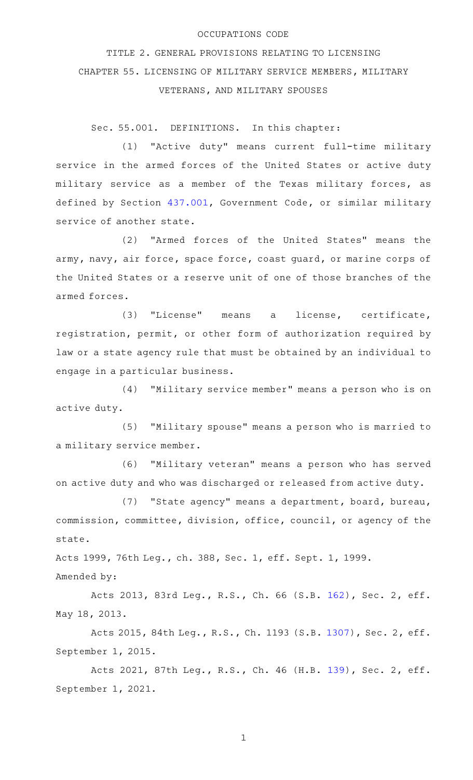## OCCUPATIONS CODE

TITLE 2. GENERAL PROVISIONS RELATING TO LICENSING CHAPTER 55. LICENSING OF MILITARY SERVICE MEMBERS, MILITARY VETERANS, AND MILITARY SPOUSES

Sec. 55.001. DEFINITIONS. In this chapter:

(1) "Active duty" means current full-time military service in the armed forces of the United States or active duty military service as a member of the Texas military forces, as defined by Section [437.001](http://www.statutes.legis.state.tx.us/GetStatute.aspx?Code=GV&Value=437.001), Government Code, or similar military service of another state.

(2) "Armed forces of the United States" means the army, navy, air force, space force, coast guard, or marine corps of the United States or a reserve unit of one of those branches of the armed forces.

(3) "License" means a license, certificate, registration, permit, or other form of authorization required by law or a state agency rule that must be obtained by an individual to engage in a particular business.

(4) "Military service member" means a person who is on active duty.

(5) "Military spouse" means a person who is married to a military service member.

(6) "Military veteran" means a person who has served on active duty and who was discharged or released from active duty.

(7) "State agency" means a department, board, bureau, commission, committee, division, office, council, or agency of the state.

Acts 1999, 76th Leg., ch. 388, Sec. 1, eff. Sept. 1, 1999.

Amended by:

Acts 2013, 83rd Leg., R.S., Ch. 66 (S.B. [162](http://www.legis.state.tx.us/tlodocs/83R/billtext/html/SB00162F.HTM)), Sec. 2, eff. May 18, 2013.

Acts 2015, 84th Leg., R.S., Ch. 1193 (S.B. [1307](http://www.legis.state.tx.us/tlodocs/84R/billtext/html/SB01307F.HTM)), Sec. 2, eff. September 1, 2015.

Acts 2021, 87th Leg., R.S., Ch. 46 (H.B. [139](http://www.legis.state.tx.us/tlodocs/87R/billtext/html/HB00139F.HTM)), Sec. 2, eff. September 1, 2021.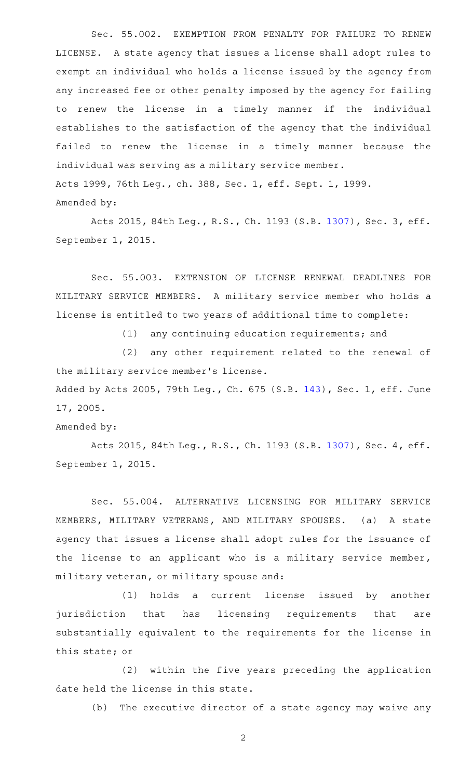Sec. 55.002. EXEMPTION FROM PENALTY FOR FAILURE TO RENEW LICENSE. A state agency that issues a license shall adopt rules to exempt an individual who holds a license issued by the agency from any increased fee or other penalty imposed by the agency for failing to renew the license in a timely manner if the individual establishes to the satisfaction of the agency that the individual failed to renew the license in a timely manner because the individual was serving as a military service member. Acts 1999, 76th Leg., ch. 388, Sec. 1, eff. Sept. 1, 1999. Amended by:

Acts 2015, 84th Leg., R.S., Ch. 1193 (S.B. [1307](http://www.legis.state.tx.us/tlodocs/84R/billtext/html/SB01307F.HTM)), Sec. 3, eff. September 1, 2015.

Sec. 55.003. EXTENSION OF LICENSE RENEWAL DEADLINES FOR MILITARY SERVICE MEMBERS. A military service member who holds a license is entitled to two years of additional time to complete:

(1) any continuing education requirements; and

(2) any other requirement related to the renewal of the military service member 's license.

Added by Acts 2005, 79th Leg., Ch. 675 (S.B. [143](http://www.legis.state.tx.us/tlodocs/79R/billtext/html/SB00143F.HTM)), Sec. 1, eff. June 17, 2005.

Amended by:

Acts 2015, 84th Leg., R.S., Ch. 1193 (S.B. [1307](http://www.legis.state.tx.us/tlodocs/84R/billtext/html/SB01307F.HTM)), Sec. 4, eff. September 1, 2015.

Sec. 55.004. ALTERNATIVE LICENSING FOR MILITARY SERVICE MEMBERS, MILITARY VETERANS, AND MILITARY SPOUSES. (a) A state agency that issues a license shall adopt rules for the issuance of the license to an applicant who is a military service member, military veteran, or military spouse and:

(1) holds a current license issued by another jurisdiction that has licensing requirements that are substantially equivalent to the requirements for the license in this state; or

(2) within the five years preceding the application date held the license in this state.

(b) The executive director of a state agency may waive any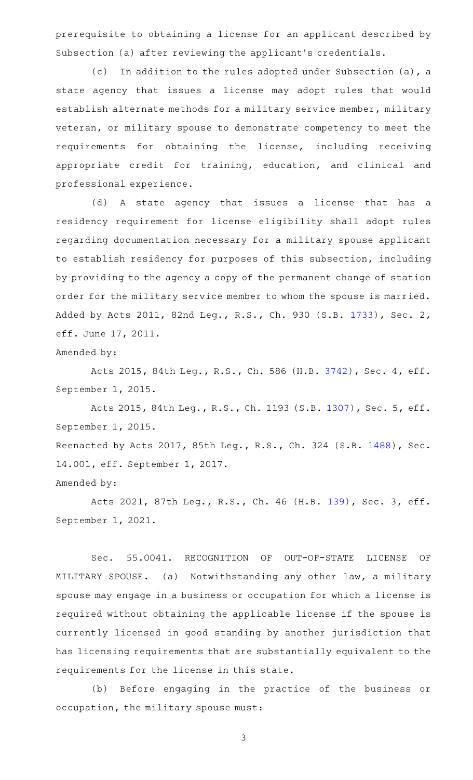prerequisite to obtaining a license for an applicant described by Subsection (a) after reviewing the applicant 's credentials.

(c) In addition to the rules adopted under Subsection (a), a state agency that issues a license may adopt rules that would establish alternate methods for a military service member, military veteran, or military spouse to demonstrate competency to meet the requirements for obtaining the license, including receiving appropriate credit for training, education, and clinical and professional experience.

(d)AAA state agency that issues a license that has a residency requirement for license eligibility shall adopt rules regarding documentation necessary for a military spouse applicant to establish residency for purposes of this subsection, including by providing to the agency a copy of the permanent change of station order for the military service member to whom the spouse is married. Added by Acts 2011, 82nd Leg., R.S., Ch. 930 (S.B. [1733](http://www.legis.state.tx.us/tlodocs/82R/billtext/html/SB01733F.HTM)), Sec. 2, eff. June 17, 2011.

Amended by:

Acts 2015, 84th Leg., R.S., Ch. 586 (H.B. [3742](http://www.legis.state.tx.us/tlodocs/84R/billtext/html/HB03742F.HTM)), Sec. 4, eff. September 1, 2015.

Acts 2015, 84th Leg., R.S., Ch. 1193 (S.B. [1307](http://www.legis.state.tx.us/tlodocs/84R/billtext/html/SB01307F.HTM)), Sec. 5, eff. September 1, 2015. Reenacted by Acts 2017, 85th Leg., R.S., Ch. 324 (S.B. [1488](http://www.legis.state.tx.us/tlodocs/85R/billtext/html/SB01488F.HTM)), Sec. 14.001, eff. September 1, 2017.

Amended by:

Acts 2021, 87th Leg., R.S., Ch. 46 (H.B. [139](http://www.legis.state.tx.us/tlodocs/87R/billtext/html/HB00139F.HTM)), Sec. 3, eff. September 1, 2021.

Sec. 55.0041. RECOGNITION OF OUT-OF-STATE LICENSE OF MILITARY SPOUSE. (a) Notwithstanding any other law, a military spouse may engage in a business or occupation for which a license is required without obtaining the applicable license if the spouse is currently licensed in good standing by another jurisdiction that has licensing requirements that are substantially equivalent to the requirements for the license in this state.

(b) Before engaging in the practice of the business or occupation, the military spouse must: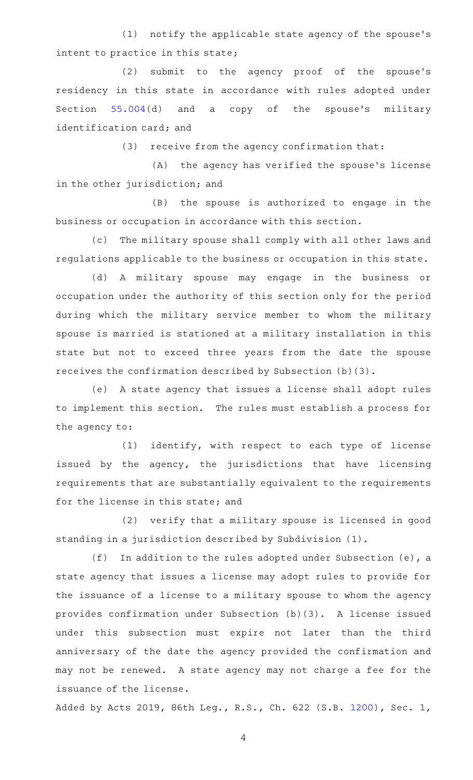(1) notify the applicable state agency of the spouse's intent to practice in this state;

(2) submit to the agency proof of the spouse's residency in this state in accordance with rules adopted under Section [55.004\(](http://www.statutes.legis.state.tx.us/GetStatute.aspx?Code=OC&Value=55.004)d) and a copy of the spouse's military identification card; and

 $(3)$  receive from the agency confirmation that:

(A) the agency has verified the spouse's license in the other jurisdiction; and

(B) the spouse is authorized to engage in the business or occupation in accordance with this section.

(c) The military spouse shall comply with all other laws and regulations applicable to the business or occupation in this state.

(d) A military spouse may engage in the business or occupation under the authority of this section only for the period during which the military service member to whom the military spouse is married is stationed at a military installation in this state but not to exceed three years from the date the spouse receives the confirmation described by Subsection (b)(3).

(e) A state agency that issues a license shall adopt rules to implement this section. The rules must establish a process for the agency to:

(1) identify, with respect to each type of license issued by the agency, the jurisdictions that have licensing requirements that are substantially equivalent to the requirements for the license in this state; and

(2) verify that a military spouse is licensed in good standing in a jurisdiction described by Subdivision (1).

(f) In addition to the rules adopted under Subsection (e), a state agency that issues a license may adopt rules to provide for the issuance of a license to a military spouse to whom the agency provides confirmation under Subsection (b)(3). A license issued under this subsection must expire not later than the third anniversary of the date the agency provided the confirmation and may not be renewed. A state agency may not charge a fee for the issuance of the license.

Added by Acts 2019, 86th Leg., R.S., Ch. 622 (S.B. [1200](http://www.legis.state.tx.us/tlodocs/86R/billtext/html/SB01200F.HTM)), Sec. 1,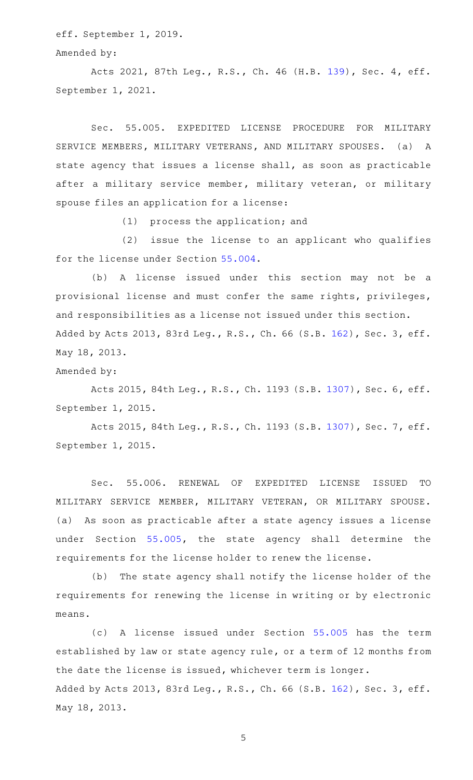eff. September 1, 2019.

Amended by:

Acts 2021, 87th Leg., R.S., Ch. 46 (H.B. [139](http://www.legis.state.tx.us/tlodocs/87R/billtext/html/HB00139F.HTM)), Sec. 4, eff. September 1, 2021.

Sec. 55.005. EXPEDITED LICENSE PROCEDURE FOR MILITARY SERVICE MEMBERS, MILITARY VETERANS, AND MILITARY SPOUSES. (a) A state agency that issues a license shall, as soon as practicable after a military service member, military veteran, or military spouse files an application for a license:

 $(1)$  process the application; and

(2) issue the license to an applicant who qualifies for the license under Section [55.004](http://www.statutes.legis.state.tx.us/GetStatute.aspx?Code=OC&Value=55.004).

(b) A license issued under this section may not be a provisional license and must confer the same rights, privileges, and responsibilities as a license not issued under this section. Added by Acts 2013, 83rd Leg., R.S., Ch. 66 (S.B. [162](http://www.legis.state.tx.us/tlodocs/83R/billtext/html/SB00162F.HTM)), Sec. 3, eff. May 18, 2013.

Amended by:

Acts 2015, 84th Leg., R.S., Ch. 1193 (S.B. [1307](http://www.legis.state.tx.us/tlodocs/84R/billtext/html/SB01307F.HTM)), Sec. 6, eff. September 1, 2015.

Acts 2015, 84th Leg., R.S., Ch. 1193 (S.B. [1307](http://www.legis.state.tx.us/tlodocs/84R/billtext/html/SB01307F.HTM)), Sec. 7, eff. September 1, 2015.

Sec. 55.006. RENEWAL OF EXPEDITED LICENSE ISSUED TO MILITARY SERVICE MEMBER, MILITARY VETERAN, OR MILITARY SPOUSE. (a) As soon as practicable after a state agency issues a license under Section [55.005](http://www.statutes.legis.state.tx.us/GetStatute.aspx?Code=OC&Value=55.005), the state agency shall determine the requirements for the license holder to renew the license.

(b) The state agency shall notify the license holder of the requirements for renewing the license in writing or by electronic means.

(c)AAA license issued under Section [55.005](http://www.statutes.legis.state.tx.us/GetStatute.aspx?Code=OC&Value=55.005) has the term established by law or state agency rule, or a term of 12 months from the date the license is issued, whichever term is longer. Added by Acts 2013, 83rd Leg., R.S., Ch. 66 (S.B. [162](http://www.legis.state.tx.us/tlodocs/83R/billtext/html/SB00162F.HTM)), Sec. 3, eff. May 18, 2013.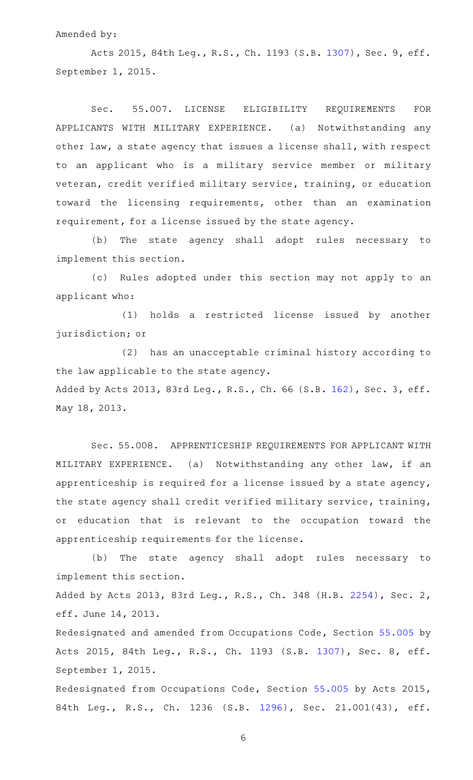## Amended by:

Acts 2015, 84th Leg., R.S., Ch. 1193 (S.B. [1307](http://www.legis.state.tx.us/tlodocs/84R/billtext/html/SB01307F.HTM)), Sec. 9, eff. September 1, 2015.

Sec. 55.007. LICENSE ELIGIBILITY REQUIREMENTS FOR APPLICANTS WITH MILITARY EXPERIENCE. (a) Notwithstanding any other law, a state agency that issues a license shall, with respect to an applicant who is a military service member or military veteran, credit verified military service, training, or education toward the licensing requirements, other than an examination requirement, for a license issued by the state agency.

(b) The state agency shall adopt rules necessary to implement this section.

(c) Rules adopted under this section may not apply to an applicant who:

(1) holds a restricted license issued by another jurisdiction; or

(2) has an unacceptable criminal history according to the law applicable to the state agency. Added by Acts 2013, 83rd Leg., R.S., Ch. 66 (S.B. [162](http://www.legis.state.tx.us/tlodocs/83R/billtext/html/SB00162F.HTM)), Sec. 3, eff. May 18, 2013.

Sec. 55.008. APPRENTICESHIP REQUIREMENTS FOR APPLICANT WITH MILITARY EXPERIENCE. (a) Notwithstanding any other law, if an apprenticeship is required for a license issued by a state agency, the state agency shall credit verified military service, training, or education that is relevant to the occupation toward the apprenticeship requirements for the license.

(b) The state agency shall adopt rules necessary to implement this section.

Added by Acts 2013, 83rd Leg., R.S., Ch. 348 (H.B. [2254](http://www.legis.state.tx.us/tlodocs/83R/billtext/html/HB02254F.HTM)), Sec. 2, eff. June 14, 2013.

Redesignated and amended from Occupations Code, Section [55.005](http://www.statutes.legis.state.tx.us/GetStatute.aspx?Code=OC&Value=55.005) by Acts 2015, 84th Leg., R.S., Ch. 1193 (S.B. [1307\)](http://www.legis.state.tx.us/tlodocs/84R/billtext/html/SB01307F.HTM), Sec. 8, eff. September 1, 2015.

Redesignated from Occupations Code, Section [55.005](http://www.statutes.legis.state.tx.us/GetStatute.aspx?Code=OC&Value=55.005) by Acts 2015, 84th Leg., R.S., Ch. 1236 (S.B. [1296\)](http://www.legis.state.tx.us/tlodocs/84R/billtext/html/SB01296F.HTM), Sec. 21.001(43), eff.